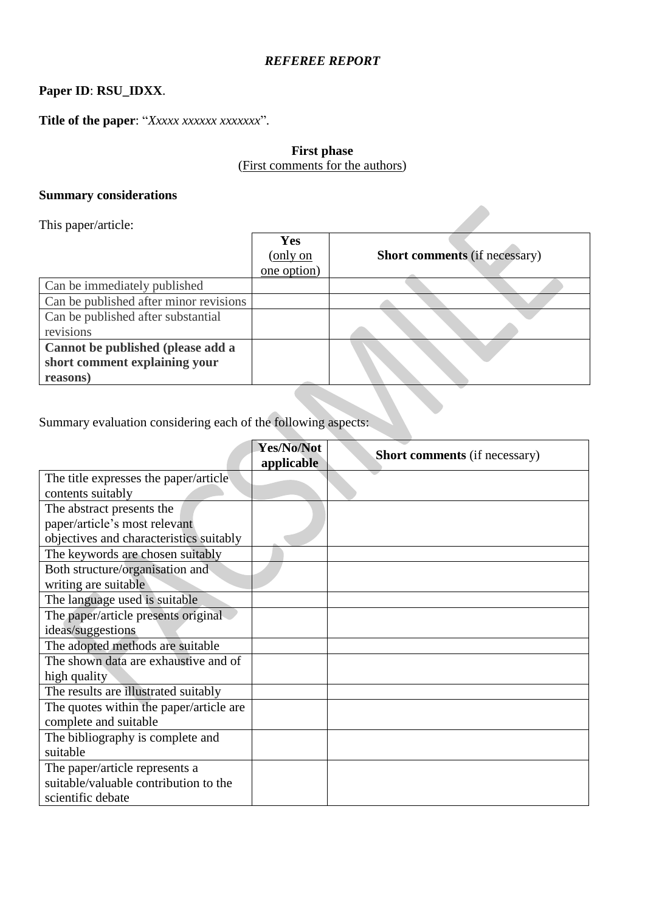# *REFEREE REPORT*

# **Paper ID**: **RSU\_IDXX**.

**Title of the paper**: "*Xxxxx xxxxxx xxxxxxx*".

# **First phase** (First comments for the authors)

# **Summary considerations**

| This paper/article:                    |             |                                      |
|----------------------------------------|-------------|--------------------------------------|
|                                        | Yes         |                                      |
|                                        | (only on    | <b>Short comments (if necessary)</b> |
|                                        | one option) |                                      |
| Can be immediately published           |             |                                      |
| Can be published after minor revisions |             |                                      |
| Can be published after substantial     |             |                                      |
| revisions                              |             |                                      |
| Cannot be published (please add a      |             |                                      |
| short comment explaining your          |             |                                      |
| reasons)                               |             |                                      |

Summary evaluation considering each of the following aspects:

|                                         | Yes/No/Not<br>applicable | <b>Short comments</b> (if necessary) |
|-----------------------------------------|--------------------------|--------------------------------------|
| The title expresses the paper/article   |                          |                                      |
| contents suitably                       |                          |                                      |
| The abstract presents the               |                          |                                      |
| paper/article's most relevant           |                          |                                      |
| objectives and characteristics suitably |                          |                                      |
| The keywords are chosen suitably        |                          |                                      |
| Both structure/organisation and         |                          |                                      |
| writing are suitable                    |                          |                                      |
| The language used is suitable           |                          |                                      |
| The paper/article presents original     |                          |                                      |
| ideas/suggestions                       |                          |                                      |
| The adopted methods are suitable        |                          |                                      |
| The shown data are exhaustive and of    |                          |                                      |
| high quality                            |                          |                                      |
| The results are illustrated suitably    |                          |                                      |
| The quotes within the paper/article are |                          |                                      |
| complete and suitable                   |                          |                                      |
| The bibliography is complete and        |                          |                                      |
| suitable                                |                          |                                      |
| The paper/article represents a          |                          |                                      |
| suitable/valuable contribution to the   |                          |                                      |
| scientific debate                       |                          |                                      |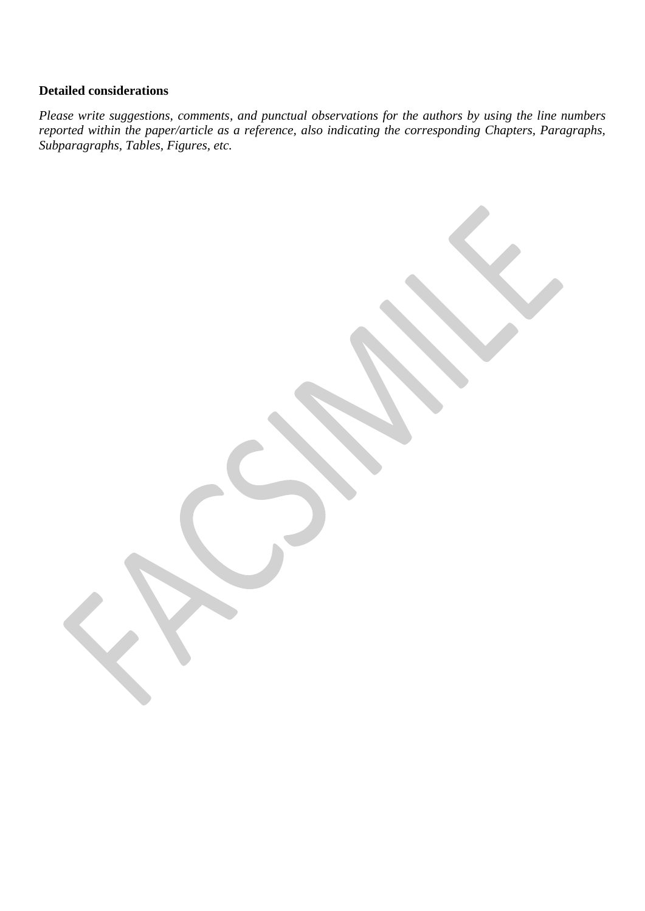# **Detailed considerations**

*Please write suggestions, comments, and punctual observations for the authors by using the line numbers reported within the paper/article as a reference, also indicating the corresponding Chapters, Paragraphs, Subparagraphs, Tables, Figures, etc.*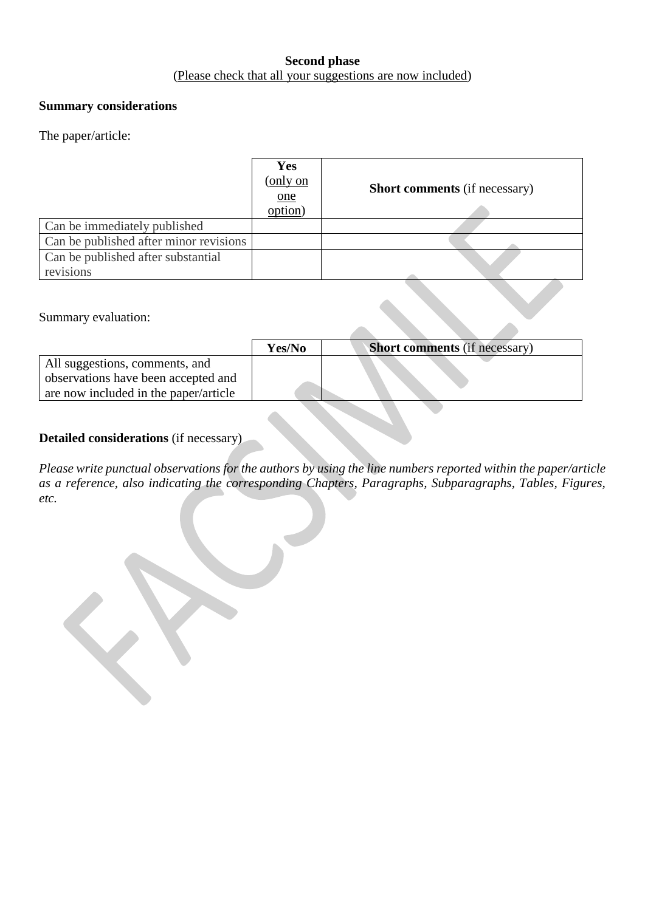# **Second phase** (Please check that all your suggestions are now included)

### **Summary considerations**

#### The paper/article:

|                                        | Yes<br>(only on<br>one<br>$\overline{\text{option}}$ | <b>Short comments</b> (if necessary) |
|----------------------------------------|------------------------------------------------------|--------------------------------------|
| Can be immediately published           |                                                      |                                      |
| Can be published after minor revisions |                                                      |                                      |
| Can be published after substantial     |                                                      |                                      |
| revisions                              |                                                      |                                      |

#### Summary evaluation:

|                                       | Yes/No | <b>Short comments</b> (if necessary) |
|---------------------------------------|--------|--------------------------------------|
| All suggestions, comments, and        |        |                                      |
| observations have been accepted and   |        |                                      |
| are now included in the paper/article |        |                                      |

# **Detailed considerations** (if necessary)

*Please write punctual observations for the authors by using the line numbers reported within the paper/article as a reference, also indicating the corresponding Chapters, Paragraphs, Subparagraphs, Tables, Figures, etc.*